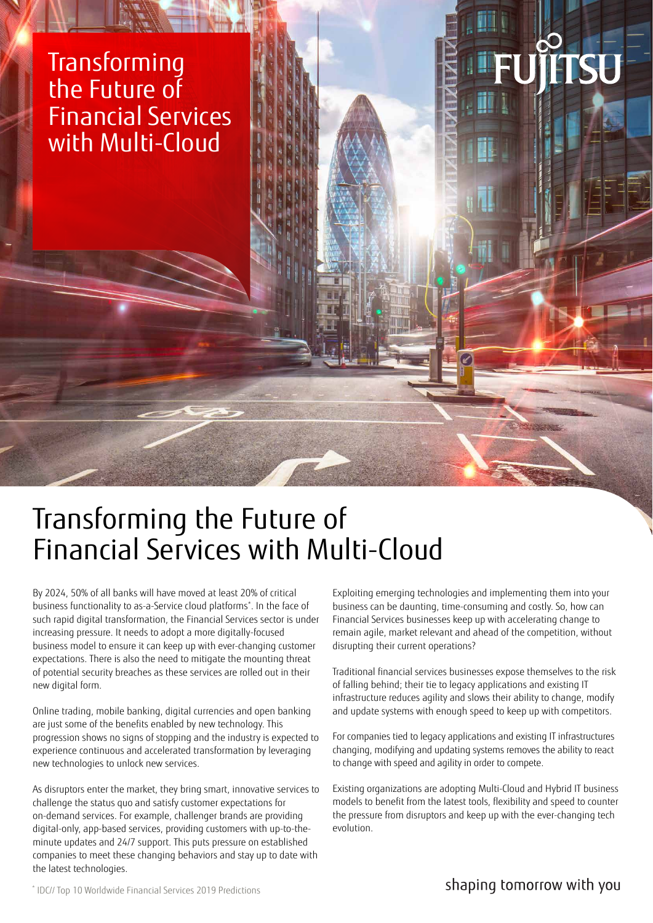## **Transforming** the Future of Financial Services with Multi-Cloud

# Transforming the Future of Financial Services with Multi-Cloud

By 2024, 50% of all banks will have moved at least 20% of critical business functionality to as-a-Service cloud platforms\* . In the face of such rapid digital transformation, the Financial Services sector is under increasing pressure. It needs to adopt a more digitally-focused business model to ensure it can keep up with ever-changing customer expectations. There is also the need to mitigate the mounting threat of potential security breaches as these services are rolled out in their new digital form.

Online trading, mobile banking, digital currencies and open banking are just some of the benefits enabled by new technology. This progression shows no signs of stopping and the industry is expected to experience continuous and accelerated transformation by leveraging new technologies to unlock new services.

As disruptors enter the market, they bring smart, innovative services to challenge the status quo and satisfy customer expectations for on-demand services. For example, challenger brands are providing digital-only, app-based services, providing customers with up-to-theminute updates and 24/7 support. This puts pressure on established companies to meet these changing behaviors and stay up to date with the latest technologies.

Exploiting emerging technologies and implementing them into your business can be daunting, time-consuming and costly. So, how can Financial Services businesses keep up with accelerating change to remain agile, market relevant and ahead of the competition, without disrupting their current operations?

Traditional financial services businesses expose themselves to the risk of falling behind; their tie to legacy applications and existing IT infrastructure reduces agility and slows their ability to change, modify and update systems with enough speed to keep up with competitors.

For companies tied to legacy applications and existing IT infrastructures changing, modifying and updating systems removes the ability to react to change with speed and agility in order to compete.

Existing organizations are adopting Multi-Cloud and Hybrid IT business models to benefit from the latest tools, flexibility and speed to counter the pressure from disruptors and keep up with the ever-changing tech evolution.

\* IDC// Top 10 Worldwide Financial Services 2019 Predictions

shaping tomorrow with you